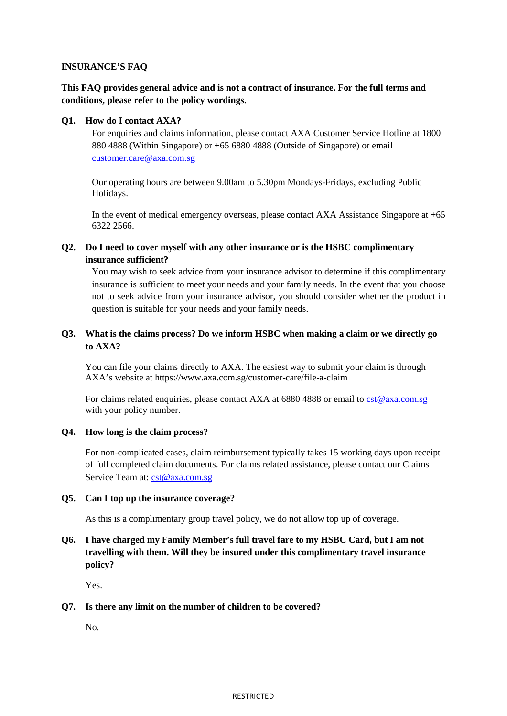## **INSURANCE'S FAQ**

# **This FAQ provides general advice and is not a contract of insurance. For the full terms and conditions, please refer to the policy wordings.**

## **Q1. How do I contact AXA?**

For enquiries and claims information, please contact AXA Customer Service Hotline at 1800 880 4888 (Within Singapore) or +65 6880 4888 (Outside of Singapore) or email [customer.care@axa.com.sg](mailto:customer.care@axa.com.sg) 

Our operating hours are between 9.00am to 5.30pm Mondays-Fridays, excluding Public Holidays.

In the event of medical emergency overseas, please contact AXA Assistance Singapore at +65 6322 2566.

## **Q2. Do I need to cover myself with any other insurance or is the HSBC complimentary insurance sufficient?**

You may wish to seek advice from your insurance advisor to determine if this complimentary insurance is sufficient to meet your needs and your family needs. In the event that you choose not to seek advice from your insurance advisor, you should consider whether the product in question is suitable for your needs and your family needs.

# **Q3. What is the claims process? Do we inform HSBC when making a claim or we directly go to AXA?**

You can file your claims directly to AXA. The easiest way to submit your claim is through AXA's website at<https://www.axa.com.sg/customer-care/file-a-claim>

For claims related enquiries, please contact AXA at 6880 4888 or email to [cst@axa.com.sg](mailto:cst@axa.com.sg) with your policy number.

## **Q4. How long is the claim process?**

For non-complicated cases, claim reimbursement typically takes 15 working days upon receipt of full completed claim documents. For claims related assistance, please contact our Claims Service Team at: [cst@axa.com.sg](mailto:cst@axa.com.sg)

## **Q5. Can I top up the insurance coverage?**

As this is a complimentary group travel policy, we do not allow top up of coverage.

# **Q6. I have charged my Family Member's full travel fare to my HSBC Card, but I am not travelling with them. Will they be insured under this complimentary travel insurance policy?**

Yes.

## **Q7. Is there any limit on the number of children to be covered?**

No.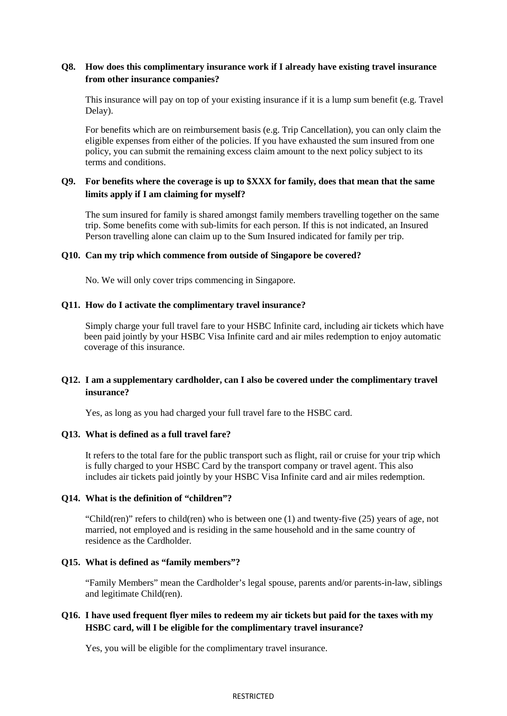## **Q8. How does this complimentary insurance work if I already have existing travel insurance from other insurance companies?**

This insurance will pay on top of your existing insurance if it is a lump sum benefit (e.g. Travel Delay).

For benefits which are on reimbursement basis (e.g. Trip Cancellation), you can only claim the eligible expenses from either of the policies. If you have exhausted the sum insured from one policy, you can submit the remaining excess claim amount to the next policy subject to its terms and conditions.

## **Q9. For benefits where the coverage is up to \$XXX for family, does that mean that the same limits apply if I am claiming for myself?**

The sum insured for family is shared amongst family members travelling together on the same trip. Some benefits come with sub-limits for each person. If this is not indicated, an Insured Person travelling alone can claim up to the Sum Insured indicated for family per trip.

## **Q10. Can my trip which commence from outside of Singapore be covered?**

No. We will only cover trips commencing in Singapore.

#### **Q11. How do I activate the complimentary travel insurance?**

Simply charge your full travel fare to your HSBC Infinite card, including air tickets which have been paid jointly by your HSBC Visa Infinite card and air miles redemption to enjoy automatic coverage of this insurance.

## **Q12. I am a supplementary cardholder, can I also be covered under the complimentary travel insurance?**

Yes, as long as you had charged your full travel fare to the HSBC card.

#### **Q13. What is defined as a full travel fare?**

It refers to the total fare for the public transport such as flight, rail or cruise for your trip which is fully charged to your HSBC Card by the transport company or travel agent. This also includes air tickets paid jointly by your HSBC Visa Infinite card and air miles redemption.

## **Q14. What is the definition of "children"?**

"Child(ren)" refers to child(ren) who is between one (1) and twenty-five (25) years of age, not married, not employed and is residing in the same household and in the same country of residence as the Cardholder.

#### **Q15. What is defined as "family members"?**

"Family Members" mean the Cardholder's legal spouse, parents and/or parents-in-law, siblings and legitimate Child(ren).

## **Q16. I have used frequent flyer miles to redeem my air tickets but paid for the taxes with my HSBC card, will I be eligible for the complimentary travel insurance?**

Yes, you will be eligible for the complimentary travel insurance.